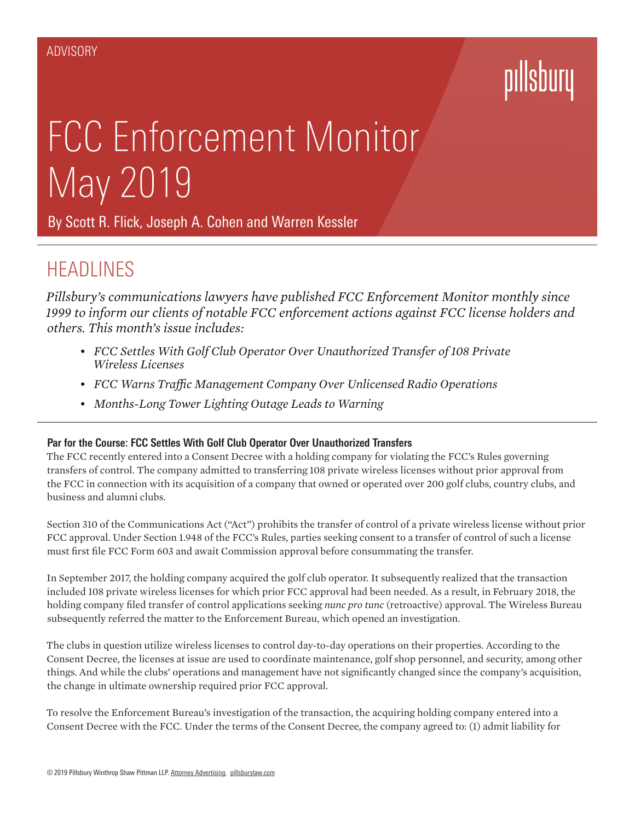# pillsbu

# FCC Enforcement Monitor May 2019

By [Scott R. Flick,](https://www.pillsburylaw.com/en/lawyers/scott-flick.html) [Joseph A. Cohen](https://www.pillsburylaw.com/en/lawyers/joseph-cohen.html) and [Warren Kessler](https://www.pillsburylaw.com/en/lawyers/warren-kessler.html)

## **HEADLINES**

*Pillsbury's communications lawyers have published FCC Enforcement Monitor monthly since 1999 to inform our clients of notable FCC enforcement actions against FCC license holders and others. This month's issue includes:*

- *• FCC Settles With Golf Club Operator Over Unauthorized Transfer of 108 Private Wireless Licenses*
- *• FCC Warns Traffic Management Company Over Unlicensed Radio Operations*
- *• Months-Long Tower Lighting Outage Leads to Warning*

### **Par for the Course: FCC Settles With Golf Club Operator Over Unauthorized Transfers**

The FCC recently entered into a Consent Decree with a holding company for violating the FCC's Rules governing transfers of control. The company admitted to transferring 108 private wireless licenses without prior approval from the FCC in connection with its acquisition of a company that owned or operated over 200 golf clubs, country clubs, and business and alumni clubs.

Section 310 of the Communications Act ("Act") prohibits the transfer of control of a private wireless license without prior FCC approval. Under Section 1.948 of the FCC's Rules, parties seeking consent to a transfer of control of such a license must first file FCC Form 603 and await Commission approval before consummating the transfer.

In September 2017, the holding company acquired the golf club operator. It subsequently realized that the transaction included 108 private wireless licenses for which prior FCC approval had been needed. As a result, in February 2018, the holding company filed transfer of control applications seeking *nunc pro tunc* (retroactive) approval. The Wireless Bureau subsequently referred the matter to the Enforcement Bureau, which opened an investigation.

The clubs in question utilize wireless licenses to control day-to-day operations on their properties. According to the Consent Decree, the licenses at issue are used to coordinate maintenance, golf shop personnel, and security, among other things. And while the clubs' operations and management have not significantly changed since the company's acquisition, the change in ultimate ownership required prior FCC approval.

To resolve the Enforcement Bureau's investigation of the transaction, the acquiring holding company entered into a Consent Decree with the FCC. Under the terms of the Consent Decree, the company agreed to: (1) admit liability for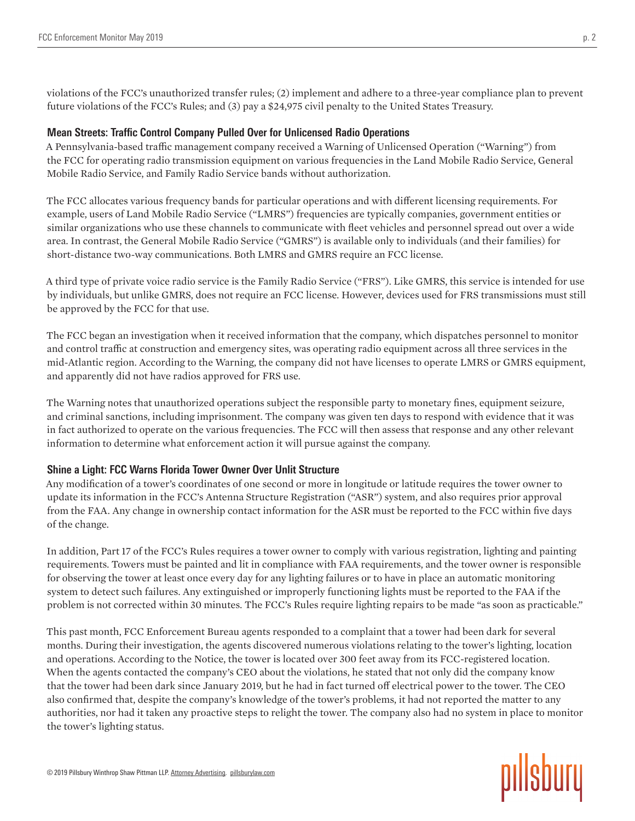violations of the FCC's unauthorized transfer rules; (2) implement and adhere to a three-year compliance plan to prevent future violations of the FCC's Rules; and (3) pay a \$24,975 civil penalty to the United States Treasury.

#### **Mean Streets: Traffic Control Company Pulled Over for Unlicensed Radio Operations**

A Pennsylvania-based traffic management company received a Warning of Unlicensed Operation ("Warning") from the FCC for operating radio transmission equipment on various frequencies in the Land Mobile Radio Service, General Mobile Radio Service, and Family Radio Service bands without authorization.

The FCC allocates various frequency bands for particular operations and with different licensing requirements. For example, users of Land Mobile Radio Service ("LMRS") frequencies are typically companies, government entities or similar organizations who use these channels to communicate with fleet vehicles and personnel spread out over a wide area. In contrast, the General Mobile Radio Service ("GMRS") is available only to individuals (and their families) for short-distance two-way communications. Both LMRS and GMRS require an FCC license.

A third type of private voice radio service is the Family Radio Service ("FRS"). Like GMRS, this service is intended for use by individuals, but unlike GMRS, does not require an FCC license. However, devices used for FRS transmissions must still be approved by the FCC for that use.

The FCC began an investigation when it received information that the company, which dispatches personnel to monitor and control traffic at construction and emergency sites, was operating radio equipment across all three services in the mid-Atlantic region. According to the Warning, the company did not have licenses to operate LMRS or GMRS equipment, and apparently did not have radios approved for FRS use.

The Warning notes that unauthorized operations subject the responsible party to monetary fines, equipment seizure, and criminal sanctions, including imprisonment. The company was given ten days to respond with evidence that it was in fact authorized to operate on the various frequencies. The FCC will then assess that response and any other relevant information to determine what enforcement action it will pursue against the company.

### **Shine a Light: FCC Warns Florida Tower Owner Over Unlit Structure**

Any modification of a tower's coordinates of one second or more in longitude or latitude requires the tower owner to update its information in the FCC's Antenna Structure Registration ("ASR") system, and also requires prior approval from the FAA. Any change in ownership contact information for the ASR must be reported to the FCC within five days of the change.

In addition, Part 17 of the FCC's Rules requires a tower owner to comply with various registration, lighting and painting requirements. Towers must be painted and lit in compliance with FAA requirements, and the tower owner is responsible for observing the tower at least once every day for any lighting failures or to have in place an automatic monitoring system to detect such failures. Any extinguished or improperly functioning lights must be reported to the FAA if the problem is not corrected within 30 minutes. The FCC's Rules require lighting repairs to be made "as soon as practicable."

This past month, FCC Enforcement Bureau agents responded to a complaint that a tower had been dark for several months. During their investigation, the agents discovered numerous violations relating to the tower's lighting, location and operations. According to the Notice, the tower is located over 300 feet away from its FCC-registered location. When the agents contacted the company's CEO about the violations, he stated that not only did the company know that the tower had been dark since January 2019, but he had in fact turned off electrical power to the tower. The CEO also confirmed that, despite the company's knowledge of the tower's problems, it had not reported the matter to any authorities, nor had it taken any proactive steps to relight the tower. The company also had no system in place to monitor the tower's lighting status.